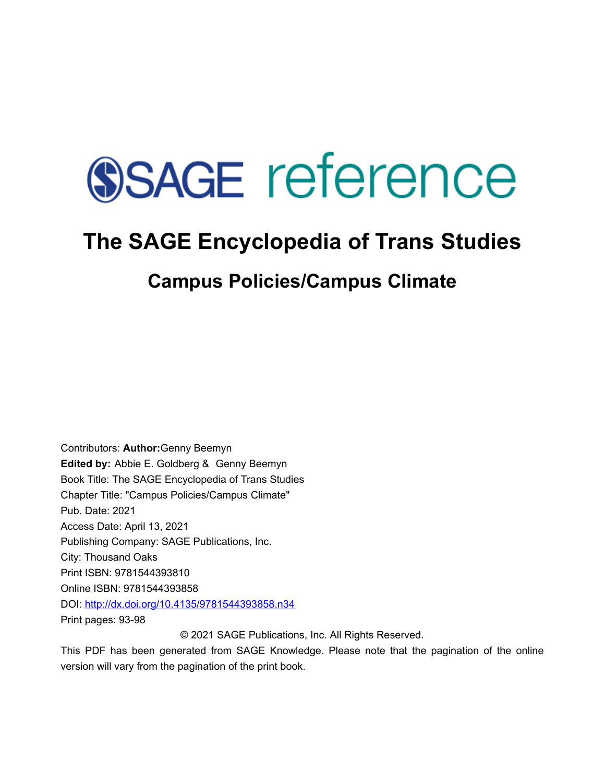# **SSAGE reference**

## **The SAGE Encyclopedia of Trans Studies**

### **Campus Policies/Campus Climate**

Contributors: **Author:**Genny Beemyn **Edited by:** [Abbie E. Goldberg](javascript:void(0);) & [Genny Beemyn](javascript:void(0);)  Book Title: The SAGE Encyclopedia of Trans Studies Chapter Title: "Campus Policies/Campus Climate" Pub. Date: 2021 Access Date: April 13, 2021 Publishing Company: SAGE Publications, Inc. City: Thousand Oaks Print ISBN: 9781544393810 Online ISBN: 9781544393858 DOI: <http://dx.doi.org/10.4135/9781544393858.n34> Print pages: 93-98

© 2021 SAGE Publications, Inc. All Rights Reserved.

This PDF has been generated from SAGE Knowledge. Please note that the pagination of the online version will vary from the pagination of the print book.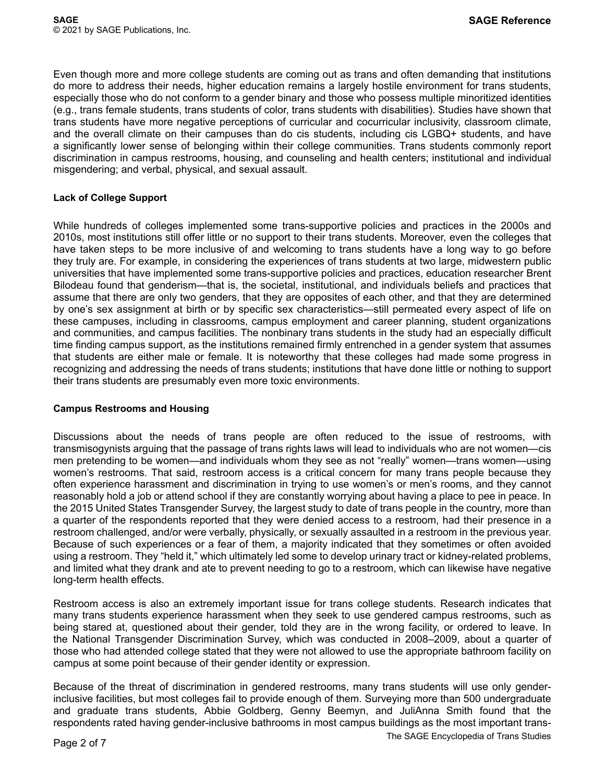Even though more and more college students are coming out as trans and often demanding that institutions do more to address their needs, higher education remains a largely hostile environment for trans students, especially those who do not conform to a gender binary and those who possess multiple minoritized identities (e.g., trans female students, trans students of color, trans students with disabilities). Studies have shown that trans students have more negative perceptions of curricular and cocurricular inclusivity, classroom climate, and the overall climate on their campuses than do cis students, including cis LGBQ+ students, and have a significantly lower sense of belonging within their college communities. Trans students commonly report discrimination in campus restrooms, housing, and counseling and health centers; institutional and individual misgendering; and verbal, physical, and sexual assault.

#### **Lack of College Support**

While hundreds of colleges implemented some trans-supportive policies and practices in the 2000s and 2010s, most institutions still offer little or no support to their trans students. Moreover, even the colleges that have taken steps to be more inclusive of and welcoming to trans students have a long way to go before they truly are. For example, in considering the experiences of trans students at two large, midwestern public universities that have implemented some trans-supportive policies and practices, education researcher Brent Bilodeau found that genderism—that is, the societal, institutional, and individuals beliefs and practices that assume that there are only two genders, that they are opposites of each other, and that they are determined by one's sex assignment at birth or by specific sex characteristics—still permeated every aspect of life on these campuses, including in classrooms, campus employment and career planning, student organizations and communities, and campus facilities. The nonbinary trans students in the study had an especially difficult time finding campus support, as the institutions remained firmly entrenched in a gender system that assumes that students are either male or female. It is noteworthy that these colleges had made some progress in recognizing and addressing the needs of trans students; institutions that have done little or nothing to support their trans students are presumably even more toxic environments.

#### **Campus Restrooms and Housing**

Discussions about the needs of trans people are often reduced to the issue of restrooms, with transmisogynists arguing that the passage of trans rights laws will lead to individuals who are not women—cis men pretending to be women—and individuals whom they see as not "really" women—trans women—using women's restrooms. That said, restroom access is a critical concern for many trans people because they often experience harassment and discrimination in trying to use women's or men's rooms, and they cannot reasonably hold a job or attend school if they are constantly worrying about having a place to pee in peace. In the 2015 United States Transgender Survey, the largest study to date of trans people in the country, more than a quarter of the respondents reported that they were denied access to a restroom, had their presence in a restroom challenged, and/or were verbally, physically, or sexually assaulted in a restroom in the previous year. Because of such experiences or a fear of them, a majority indicated that they sometimes or often avoided using a restroom. They "held it," which ultimately led some to develop urinary tract or kidney-related problems, and limited what they drank and ate to prevent needing to go to a restroom, which can likewise have negative long-term health effects.

Restroom access is also an extremely important issue for trans college students. Research indicates that many trans students experience harassment when they seek to use gendered campus restrooms, such as being stared at, questioned about their gender, told they are in the wrong facility, or ordered to leave. In the National Transgender Discrimination Survey, which was conducted in 2008–2009, about a quarter of those who had attended college stated that they were not allowed to use the appropriate bathroom facility on campus at some point because of their gender identity or expression.

Because of the threat of discrimination in gendered restrooms, many trans students will use only genderinclusive facilities, but most colleges fail to provide enough of them. Surveying more than 500 undergraduate and graduate trans students, Abbie Goldberg, Genny Beemyn, and JuliAnna Smith found that the respondents rated having gender-inclusive bathrooms in most campus buildings as the most important trans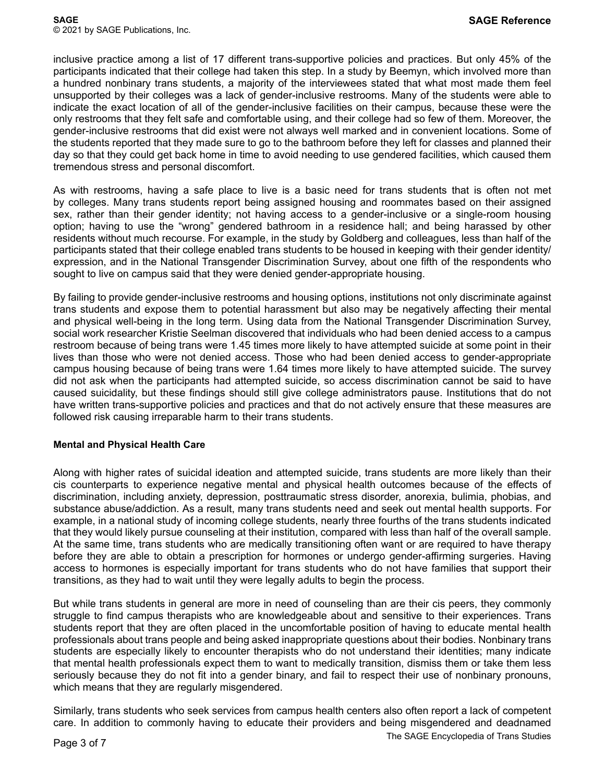inclusive practice among a list of 17 different trans-supportive policies and practices. But only 45% of the participants indicated that their college had taken this step. In a study by Beemyn, which involved more than a hundred nonbinary trans students, a majority of the interviewees stated that what most made them feel unsupported by their colleges was a lack of gender-inclusive restrooms. Many of the students were able to indicate the exact location of all of the gender-inclusive facilities on their campus, because these were the only restrooms that they felt safe and comfortable using, and their college had so few of them. Moreover, the gender-inclusive restrooms that did exist were not always well marked and in convenient locations. Some of the students reported that they made sure to go to the bathroom before they left for classes and planned their day so that they could get back home in time to avoid needing to use gendered facilities, which caused them tremendous stress and personal discomfort.

As with restrooms, having a safe place to live is a basic need for trans students that is often not met by colleges. Many trans students report being assigned housing and roommates based on their assigned sex, rather than their gender identity; not having access to a gender-inclusive or a single-room housing option; having to use the "wrong" gendered bathroom in a residence hall; and being harassed by other residents without much recourse. For example, in the study by Goldberg and colleagues, less than half of the participants stated that their college enabled trans students to be housed in keeping with their gender identity/ expression, and in the National Transgender Discrimination Survey, about one fifth of the respondents who sought to live on campus said that they were denied gender-appropriate housing.

By failing to provide gender-inclusive restrooms and housing options, institutions not only discriminate against trans students and expose them to potential harassment but also may be negatively affecting their mental and physical well-being in the long term. Using data from the National Transgender Discrimination Survey, social work researcher Kristie Seelman discovered that individuals who had been denied access to a campus restroom because of being trans were 1.45 times more likely to have attempted suicide at some point in their lives than those who were not denied access. Those who had been denied access to gender-appropriate campus housing because of being trans were 1.64 times more likely to have attempted suicide. The survey did not ask when the participants had attempted suicide, so access discrimination cannot be said to have caused suicidality, but these findings should still give college administrators pause. Institutions that do not have written trans-supportive policies and practices and that do not actively ensure that these measures are followed risk causing irreparable harm to their trans students.

#### **Mental and Physical Health Care**

Along with higher rates of suicidal ideation and attempted suicide, trans students are more likely than their cis counterparts to experience negative mental and physical health outcomes because of the effects of discrimination, including anxiety, depression, posttraumatic stress disorder, anorexia, bulimia, phobias, and substance abuse/addiction. As a result, many trans students need and seek out mental health supports. For example, in a national study of incoming college students, nearly three fourths of the trans students indicated that they would likely pursue counseling at their institution, compared with less than half of the overall sample. At the same time, trans students who are medically transitioning often want or are required to have therapy before they are able to obtain a prescription for hormones or undergo gender-affirming surgeries. Having access to hormones is especially important for trans students who do not have families that support their transitions, as they had to wait until they were legally adults to begin the process.

But while trans students in general are more in need of counseling than are their cis peers, they commonly struggle to find campus therapists who are knowledgeable about and sensitive to their experiences. Trans students report that they are often placed in the uncomfortable position of having to educate mental health professionals about trans people and being asked inappropriate questions about their bodies. Nonbinary trans students are especially likely to encounter therapists who do not understand their identities; many indicate that mental health professionals expect them to want to medically transition, dismiss them or take them less seriously because they do not fit into a gender binary, and fail to respect their use of nonbinary pronouns, which means that they are regularly misgendered.

Similarly, trans students who seek services from campus health centers also often report a lack of competent care. In addition to commonly having to educate their providers and being misgendered and deadnamed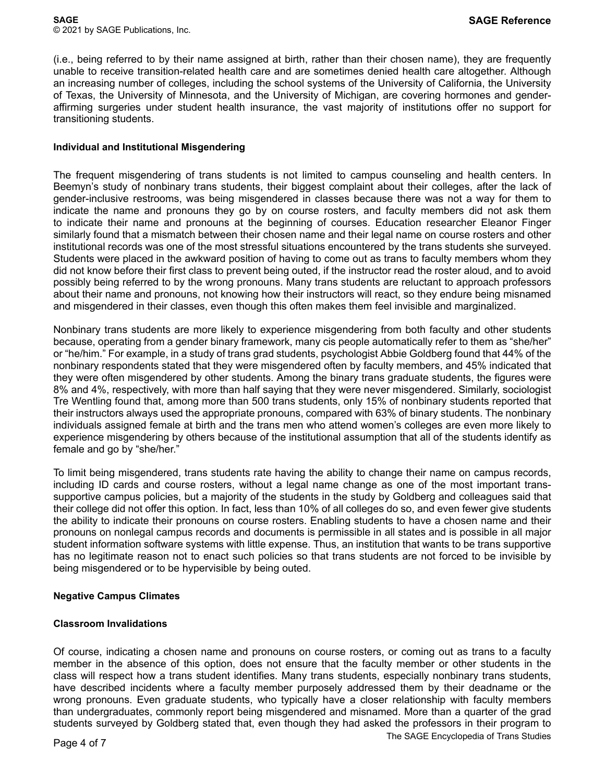(i.e., being referred to by their name assigned at birth, rather than their chosen name), they are frequently unable to receive transition-related health care and are sometimes denied health care altogether. Although an increasing number of colleges, including the school systems of the University of California, the University of Texas, the University of Minnesota, and the University of Michigan, are covering hormones and genderaffirming surgeries under student health insurance, the vast majority of institutions offer no support for transitioning students.

#### **Individual and Institutional Misgendering**

The frequent misgendering of trans students is not limited to campus counseling and health centers. In Beemyn's study of nonbinary trans students, their biggest complaint about their colleges, after the lack of gender-inclusive restrooms, was being misgendered in classes because there was not a way for them to indicate the name and pronouns they go by on course rosters, and faculty members did not ask them to indicate their name and pronouns at the beginning of courses. Education researcher Eleanor Finger similarly found that a mismatch between their chosen name and their legal name on course rosters and other institutional records was one of the most stressful situations encountered by the trans students she surveyed. Students were placed in the awkward position of having to come out as trans to faculty members whom they did not know before their first class to prevent being outed, if the instructor read the roster aloud, and to avoid possibly being referred to by the wrong pronouns. Many trans students are reluctant to approach professors about their name and pronouns, not knowing how their instructors will react, so they endure being misnamed and misgendered in their classes, even though this often makes them feel invisible and marginalized.

Nonbinary trans students are more likely to experience misgendering from both faculty and other students because, operating from a gender binary framework, many cis people automatically refer to them as "she/her" or "he/him." For example, in a study of trans grad students, psychologist Abbie Goldberg found that 44% of the nonbinary respondents stated that they were misgendered often by faculty members, and 45% indicated that they were often misgendered by other students. Among the binary trans graduate students, the figures were 8% and 4%, respectively, with more than half saying that they were never misgendered. Similarly, sociologist Tre Wentling found that, among more than 500 trans students, only 15% of nonbinary students reported that their instructors always used the appropriate pronouns, compared with 63% of binary students. The nonbinary individuals assigned female at birth and the trans men who attend women's colleges are even more likely to experience misgendering by others because of the institutional assumption that all of the students identify as female and go by "she/her."

To limit being misgendered, trans students rate having the ability to change their name on campus records, including ID cards and course rosters, without a legal name change as one of the most important transsupportive campus policies, but a majority of the students in the study by Goldberg and colleagues said that their college did not offer this option. In fact, less than 10% of all colleges do so, and even fewer give students the ability to indicate their pronouns on course rosters. Enabling students to have a chosen name and their pronouns on nonlegal campus records and documents is permissible in all states and is possible in all major student information software systems with little expense. Thus, an institution that wants to be trans supportive has no legitimate reason not to enact such policies so that trans students are not forced to be invisible by being misgendered or to be hypervisible by being outed.

#### **Negative Campus Climates**

#### **Classroom Invalidations**

Of course, indicating a chosen name and pronouns on course rosters, or coming out as trans to a faculty member in the absence of this option, does not ensure that the faculty member or other students in the class will respect how a trans student identifies. Many trans students, especially nonbinary trans students, have described incidents where a faculty member purposely addressed them by their deadname or the wrong pronouns. Even graduate students, who typically have a closer relationship with faculty members than undergraduates, commonly report being misgendered and misnamed. More than a quarter of the grad students surveyed by Goldberg stated that, even though they had asked the professors in their program to Page 4 of 7 The SAGE Encyclopedia of Trans Studies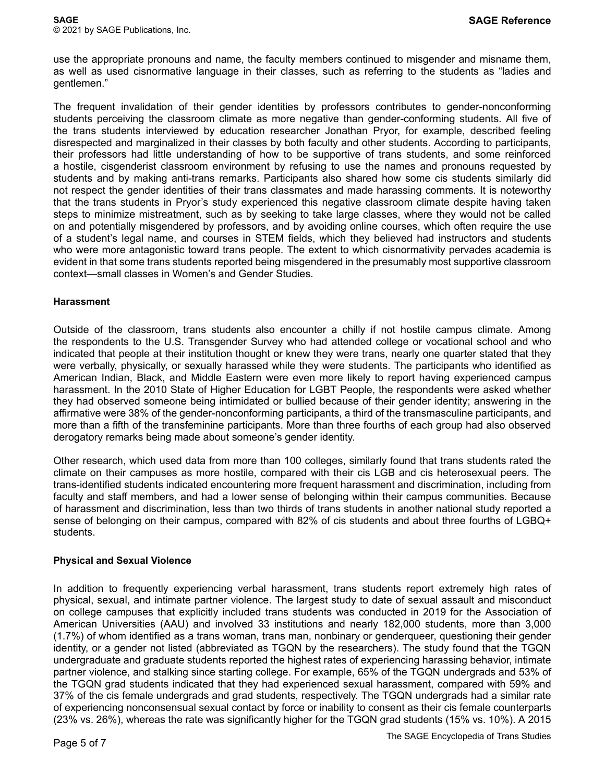use the appropriate pronouns and name, the faculty members continued to misgender and misname them, as well as used cisnormative language in their classes, such as referring to the students as "ladies and gentlemen."

The frequent invalidation of their gender identities by professors contributes to gender-nonconforming students perceiving the classroom climate as more negative than gender-conforming students. All five of the trans students interviewed by education researcher Jonathan Pryor, for example, described feeling disrespected and marginalized in their classes by both faculty and other students. According to participants, their professors had little understanding of how to be supportive of trans students, and some reinforced a hostile, cisgenderist classroom environment by refusing to use the names and pronouns requested by students and by making anti-trans remarks. Participants also shared how some cis students similarly did not respect the gender identities of their trans classmates and made harassing comments. It is noteworthy that the trans students in Pryor's study experienced this negative classroom climate despite having taken steps to minimize mistreatment, such as by seeking to take large classes, where they would not be called on and potentially misgendered by professors, and by avoiding online courses, which often require the use of a student's legal name, and courses in STEM fields, which they believed had instructors and students who were more antagonistic toward trans people. The extent to which cisnormativity pervades academia is evident in that some trans students reported being misgendered in the presumably most supportive classroom context—small classes in Women's and Gender Studies.

#### **Harassment**

Outside of the classroom, trans students also encounter a chilly if not hostile campus climate. Among the respondents to the U.S. Transgender Survey who had attended college or vocational school and who indicated that people at their institution thought or knew they were trans, nearly one quarter stated that they were verbally, physically, or sexually harassed while they were students. The participants who identified as American Indian, Black, and Middle Eastern were even more likely to report having experienced campus harassment. In the 2010 State of Higher Education for LGBT People, the respondents were asked whether they had observed someone being intimidated or bullied because of their gender identity; answering in the affirmative were 38% of the gender-nonconforming participants, a third of the transmasculine participants, and more than a fifth of the transfeminine participants. More than three fourths of each group had also observed derogatory remarks being made about someone's gender identity.

Other research, which used data from more than 100 colleges, similarly found that trans students rated the climate on their campuses as more hostile, compared with their cis LGB and cis heterosexual peers. The trans-identified students indicated encountering more frequent harassment and discrimination, including from faculty and staff members, and had a lower sense of belonging within their campus communities. Because of harassment and discrimination, less than two thirds of trans students in another national study reported a sense of belonging on their campus, compared with 82% of cis students and about three fourths of LGBQ+ students.

#### **Physical and Sexual Violence**

In addition to frequently experiencing verbal harassment, trans students report extremely high rates of physical, sexual, and intimate partner violence. The largest study to date of sexual assault and misconduct on college campuses that explicitly included trans students was conducted in 2019 for the Association of American Universities (AAU) and involved 33 institutions and nearly 182,000 students, more than 3,000 (1.7%) of whom identified as a trans woman, trans man, nonbinary or genderqueer, questioning their gender identity, or a gender not listed (abbreviated as TGQN by the researchers). The study found that the TGQN undergraduate and graduate students reported the highest rates of experiencing harassing behavior, intimate partner violence, and stalking since starting college. For example, 65% of the TGQN undergrads and 53% of the TGQN grad students indicated that they had experienced sexual harassment, compared with 59% and 37% of the cis female undergrads and grad students, respectively. The TGQN undergrads had a similar rate of experiencing nonconsensual sexual contact by force or inability to consent as their cis female counterparts (23% vs. 26%), whereas the rate was significantly higher for the TGQN grad students (15% vs. 10%). A 2015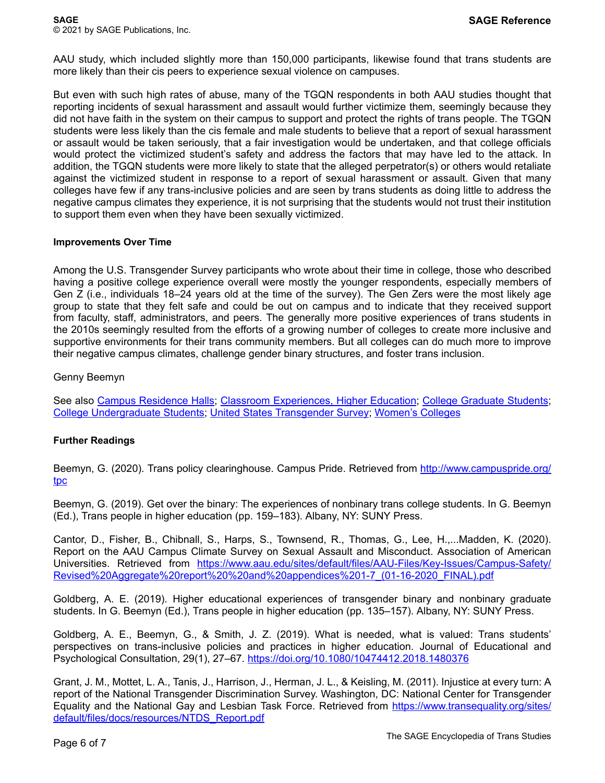AAU study, which included slightly more than 150,000 participants, likewise found that trans students are more likely than their cis peers to experience sexual violence on campuses.

But even with such high rates of abuse, many of the TGQN respondents in both AAU studies thought that reporting incidents of sexual harassment and assault would further victimize them, seemingly because they did not have faith in the system on their campus to support and protect the rights of trans people. The TGQN students were less likely than the cis female and male students to believe that a report of sexual harassment or assault would be taken seriously, that a fair investigation would be undertaken, and that college officials would protect the victimized student's safety and address the factors that may have led to the attack. In addition, the TGQN students were more likely to state that the alleged perpetrator(s) or others would retaliate against the victimized student in response to a report of sexual harassment or assault. Given that many colleges have few if any trans-inclusive policies and are seen by trans students as doing little to address the negative campus climates they experience, it is not surprising that the students would not trust their institution to support them even when they have been sexually victimized.

#### **Improvements Over Time**

Among the U.S. Transgender Survey participants who wrote about their time in college, those who described having a positive college experience overall were mostly the younger respondents, especially members of Gen Z (i.e., individuals 18–24 years old at the time of the survey). The Gen Zers were the most likely age group to state that they felt safe and could be out on campus and to indicate that they received support from faculty, staff, administrators, and peers. The generally more positive experiences of trans students in the 2010s seemingly resulted from the efforts of a growing number of colleges to create more inclusive and supportive environments for their trans community members. But all colleges can do much more to improve their negative campus climates, challenge gender binary structures, and foster trans inclusion.

Genny Beemyn

See also [Campus Residence Halls](http://sk.sagepub.com/reference/the-sage-encyclopedia-of-trans-studies/i1569.xml); [Classroom Experiences, Higher Education;](http://sk.sagepub.com/reference/the-sage-encyclopedia-of-trans-studies/i1801.xml) [College Graduate Students](http://sk.sagepub.com/reference/the-sage-encyclopedia-of-trans-studies/i1816.xml); [College Undergraduate Students;](http://sk.sagepub.com/reference/the-sage-encyclopedia-of-trans-studies/i1831.xml) [United States Transgender Survey](http://sk.sagepub.com/reference/the-sage-encyclopedia-of-trans-studies/i7395.xml); [Women's Colleges](http://sk.sagepub.com/reference/the-sage-encyclopedia-of-trans-studies/i7502.xml)

#### **Further Readings**

Beemyn, G. (2020). Trans policy clearinghouse. Campus Pride. Retrieved from [http://www.campuspride.org/](http://www.campuspride.org/tpc) [tpc](http://www.campuspride.org/tpc) 

Beemyn, G. (2019). Get over the binary: The experiences of nonbinary trans college students. In G. Beemyn (Ed.), Trans people in higher education (pp. 159–183). Albany, NY: SUNY Press.

Cantor, D., Fisher, B., Chibnall, S., Harps, S., Townsend, R., Thomas, G., Lee, H.,...Madden, K. (2020). Report on the AAU Campus Climate Survey on Sexual Assault and Misconduct. Association of American Universities. Retrieved from [https://www.aau.edu/sites/default/files/AAU-Files/Key-Issues/Campus-Safety/](https://www.aau.edu/sites/default/files/AAU-Files/Key-Issues/Campus-Safety/Revised%20Aggregate%20report%20%20and%20appendices%201-7_(01-16-2020_FINAL).pdf) Revised%20Aggregate%20report%20%20and%20appendices%201-7\_(01-16-2020\_FINAL).pdf

Goldberg, A. E. (2019). Higher educational experiences of transgender binary and nonbinary graduate students. In G. Beemyn (Ed.), Trans people in higher education (pp. 135–157). Albany, NY: SUNY Press.

Goldberg, A. E., Beemyn, G., & Smith, J. Z. (2019). What is needed, what is valued: Trans students' perspectives on trans-inclusive policies and practices in higher education. Journal of Educational and Psychological Consultation, 29(1), 27–67. <https://doi.org/10.1080/10474412.2018.1480376>

Grant, J. M., Mottet, L. A., Tanis, J., Harrison, J., Herman, J. L., & Keisling, M. (2011). Injustice at every turn: A report of the National Transgender Discrimination Survey. Washington, DC: National Center for Transgender Equality and the National Gay and Lesbian Task Force. Retrieved from [https://www.transequality.org/sites/](https://www.transequality.org/sites/default/files/docs/resources/NTDS_Report.pdf) [default/files/docs/resources/NTDS\\_Report.pdf](https://www.transequality.org/sites/default/files/docs/resources/NTDS_Report.pdf)